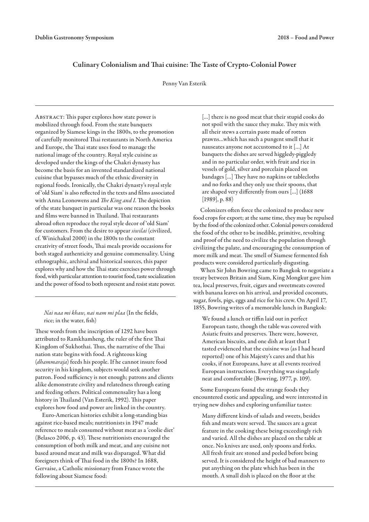# Culinary Colonialism and Thai cuisine: The Taste of Crypto-Colonial Power

## Penny Van Esterik

Abstract: This paper explores how state power is mobilized through food. From the state banquets organized by Siamese kings in the 1800s, to the promotion of carefully monitored Thai restaurants in North America and Europe, the Thai state uses food to manage the national image of the country. Royal style cuisine as developed under the kings of the Chakri dynasty has become the basis for an invented standardized national cuisine that bypasses much of the ethnic diversity in regional foods. Ironically, the Chakri dynasty's royal style of 'old Siam' is also reflected in the texts and films associated with Anna Leonowens and *The King and I*. The depiction of the state banquet in particular was one reason the books and films were banned in Thailand. Thai restaurants abroad often reproduce the royal style decor of 'old Siam' for customers. From the desire to appear *siwilai* (civilized, cf. Winichakul 2000) in the 1800s to the constant creativity of street foods, Thai meals provide occasions for both staged authenticity and genuine commensality. Using ethnographic, archival and historical sources, this paper explores why and how the Thai state exercises power through food, with particular attention to tourist food, taste socialization and the power of food to both represent and resist state power.

*Nai naa mi khaw, nai nam mi plaa* (In the fields, rice; in the water, fish)

These words from the inscription of 1292 have been attributed to Ramkhamheng, the ruler of the first Thai Kingdom of Sukhothai. Thus, the narrative of the Thai nation state begins with food. A righteous king (*dhammaraja*) feeds his people. If he cannot insure food security in his kingdom, subjects would seek another patron. Food sufficiency is not enough; patrons and clients alike demonstrate civility and relatedness through eating and feeding others. Political commensality has a long history in Thailand (Van Esterik, 1992). This paper explores how food and power are linked in the country.

Euro-American histories exhibit a long-standing bias against rice-based meals; nutritionists in 1947 made reference to meals consumed without meat as a 'coolie diet' (Belasco 2006, p. 43). These nutritionists encouraged the consumption of both milk and meat, and any cuisine not based around meat and milk was disparaged. What did foreigners think of Thai food in the 1800s? In 1688, Gervaise, a Catholic missionary from France wrote the following about Siamese food:

[...] there is no good meat that their stupid cooks do not spoil with the sauce they make. They mix with all their stews a certain paste made of rotten prawns…which has such a pungent smell that it nauseates anyone not accustomed to it […] At banquets the dishes are served higgledy-piggledy and in no particular order, with fruit and rice in vessels of gold, silver and porcelain placed on bandages […] They have no napkins or tablecloths and no forks and they only use their spoons, that are shaped very differently from ours […] (1688 [1989], p. 88)

Colonizers often force the colonized to produce new food crops for export; at the same time, they may be repulsed by the food of the colonized other. Colonial powers considered the food of the other to be inedible, primitive, revolting and proof of the need to civilize the population through civilizing the palate, and encouraging the consumption of more milk and meat. The smell of Siamese fermented fish products were considered particularly disgusting.

When Sir John Bowring came to Bangkok to negotiate a treaty between Britain and Siam, King Mongkut gave him tea, local preserves, fruit, cigars and sweetmeats covered with banana leaves on his arrival, and provided coconuts, sugar, fowls, pigs, eggs and rice for his crew. On April 17, 1855, Bowring writes of a memorable lunch in Bangkok:

We found a lunch or tiffin laid out in perfect European taste, though the table was covered with Asiatic fruits and preserves. There were, however, American biscuits, and one dish at least that I tasted evidenced that the cuisine was (as I had heard reported) one of his Majesty's cares and that his cooks, if not Europeans, have at all events received European instructions. Everything was singularly neat and comfortable (Bowring, 1977, p. 109).

Some Europeans found the strange foods they encountered exotic and appealing, and were interested in trying new dishes and exploring unfamiliar tastes:

Many different kinds of salads and sweets, besides fish and meats were served. The sauces are a great feature in the cooking these being exceedingly rich and varied. All the dishes are placed on the table at once. No knives are used, only spoons and forks. All fresh fruit are stoned and peeled before being served. It is considered the height of bad manners to put anything on the plate which has been in the mouth. A small dish is placed on the floor at the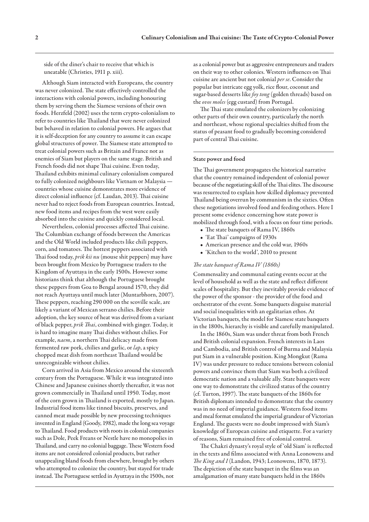side of the diner's chair to receive that which is uneatable (Christies, 1911 p. xiii).

Although Siam interacted with Europeans, the country was never colonized. The state effectively controlled the interactions with colonial powers, including honouring them by serving them the Siamese versions of their own foods. Herzfeld (2002) uses the term crypto-colonialism to refer to countries like Thailand that were never colonized but behaved in relation to colonial powers. He argues that it is self-deception for any country to assume it can escape global structures of power. The Siamese state attempted to treat colonial powers such as Britain and France not as enemies of Siam but players on the same stage. British and French foods did not shape Thai cuisine. Even today, Thailand exhibits minimal culinary colonialism compared to fully colonized neighbours like Vietnam or Malaysia countries whose cuisine demonstrates more evidence of direct colonial influence (cf. Laudan, 2013). Thai cuisine never had to reject foods from European countries. Instead, new food items and recipes from the west were easily absorbed into the cuisine and quickly considered local.

Nevertheless, colonial processes affected Thai cuisine. The Columbian exchange of foods between the Americas and the Old World included products like chili peppers, corn, and tomatoes. The hottest peppers associated with Thai food today, *prik kii nu* (mouse shit peppers) may have been brought from Mexico by Portuguese traders to the Kingdom of Ayuttaya in the early 1500s. However some historians think that although the Portuguese brought these peppers from Goa to Bengal around 1570, they did not reach Ayuttaya until much later (Muntarbhorn, 2007). These peppers, reaching 290 000 on the scoville scale, are likely a variant of Mexican serrano chilies. Before their adoption, the key source of heat was derived from a variant of black pepper, *prik Thai*, combined with ginger. Today, it is hard to imagine many Thai dishes without chilies. For example, *naem*, a northern Thai delicacy made from fermented raw pork, chilies and garlic, or *lap*, a spicy chopped meat dish from northeast Thailand would be unrecognizable without chilies.

Corn arrived in Asia from Mexico around the sixteenth century from the Portuguese. While it was integrated into Chinese and Japanese cuisines shortly thereafter, it was not grown commercially in Thailand until 1950. Today, most of the corn grown in Thailand is exported, mostly to Japan. Industrial food items like tinned biscuits, preserves, and canned meat made possible by new processing techniques invented in England (Goody, 1982), made the long sea voyage to Thailand. Food products with roots in colonial companies such as Dole, Peek Freans or Nestle have no monopolies in Thailand, and carry no colonial baggage. These Western food items are not considered colonial products, but rather unappealing bland foods from elsewhere, brought by others who attempted to colonize the country, but stayed for trade instead. The Portuguese settled in Ayuttaya in the 1500s, not

as a colonial power but as aggressive entrepreneurs and traders on their way to other colonies. Western influences on Thai cuisine are ancient but not colonial *per se*. Consider the popular but intricate egg yolk, rice flour, coconut and sugar-based desserts like *foy tong* (golden threads) based on the *ovos moles* (egg custard) from Portugal.

The Thai state emulated the colonizers by colonizing other parts of their own country, particularly the north and northeast, whose regional specialties shifted from the status of peasant food to gradually becoming considered part of central Thai cuisine.

## State power and food

The Thai government propagates the historical narrative that the country remained independent of colonial power because of the negotiating skill of the Thai elites. The discourse was resurrected to explain how skilled diplomacy prevented Thailand being overrun by communism in the sixties. Often these negotiations involved food and feeding others. Here I present some evidence concerning how state power is mobilized through food, with a focus on four time periods.

- The state banquets of Rama IV, 1860s
- 'Eat Thai' campaigns of 1930s
- American presence and the cold war, 1960s
- 'Kitchen to the world', 2010 to present

#### *The state banquet of Rama IV (1860s)*

Commensality and communal eating events occur at the level of household as well as the state and reflect different scales of hospitality. But they inevitably provide evidence of the power of the sponsor - the provider of the food and orchestrator of the event. Some banquets disguise material and social inequalities with an egalitarian ethos. At Victorian banquets, the model for Siamese state banquets in the 1800s, hierarchy is visible and carefully manipulated.

In the 1860s, Siam was under threat from both French and British colonial expansion. French interests in Laos and Cambodia, and British control of Burma and Malaysia put Siam in a vulnerable position. King Mongkut (Rama IV) was under pressure to reduce tensions between colonial powers and convince them that Siam was both a civilized democratic nation and a valuable ally. State banquets were one way to demonstrate the civilized status of the country (cf. Turton, 1997). The state banquets of the 1860s for British diplomats intended to demonstrate that the country was in no need of imperial guidance. Western food items and meal format emulated the imperial grandeur of Victorian England. The guests were no doubt impressed with Siam's knowledge of European cuisine and etiquette. For a variety of reasons, Siam remained free of colonial control.

The Chakri dynasty's royal style of 'old Siam' is reflected in the texts and films associated with Anna Leonowens and *The King and I* (Landon, 1943; Leonowens, 1870, 1873). The depiction of the state banquet in the films was an amalgamation of many state banquets held in the 1860s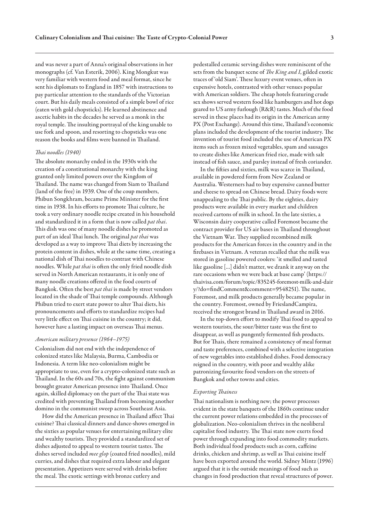and was never a part of Anna's original observations in her monographs (cf. Van Esterik, 2006). King Mongkut was very familiar with western food and meal format, since he sent his diplomats to England in 1857 with instructions to pay particular attention to the standards of the Victorian court. But his daily meals consisted of a simple bowl of rice (eaten with gold chopsticks). He learned abstinence and ascetic habits in the decades he served as a monk in the royal temple. The insulting portrayal of the king unable to use fork and spoon, and resorting to chopsticks was one reason the books and films were banned in Thailand.

## *Thai noodles (1940)*

The absolute monarchy ended in the 1930s with the creation of a constitutional monarchy with the king granted only limited powers over the Kingdom of Thailand. The name was changed from Siam to Thailand (land of the free) in 1939. One of the coup members, Phibun Songkhram, became Prime Minister for the first time in 1938. In his efforts to promote Thai culture, he took a very ordinary noodle recipe created in his household and standardized it in a form that is now called *pat thai*. This dish was one of many noodle dishes he promoted as part of an ideal Thai lunch. The original *pat thai* was developed as a way to improve Thai diets by increasing the protein content in dishes, while at the same time, creating a national dish of Thai noodles to contrast with Chinese noodles. While *pat thai* is often the only fried noodle dish served in North American restaurants, it is only one of many noodle creations offered in the food courts of Bangkok. Often the best *pat thai* is made by street vendors located in the shade of Thai temple compounds. Although Phibun tried to exert state power to alter Thai diets, his pronouncements and efforts to standardize recipes had very little effect on Thai cuisine in the country; it did, however have a lasting impact on overseas Thai menus.

#### *American military presence (1964–1975)*

Colonialism did not end with the independence of colonized states like Malaysia, Burma, Cambodia or Indonesia. A term like neo-colonialism might be appropriate to use, even for a crypto-colonized state such as Thailand. In the 60s and 70s, the fight against communism brought greater American presence into Thailand. Once again, skilled diplomacy on the part of the Thai state was credited with preventing Thailand from becoming another domino in the communist sweep across Southeast Asia.

How did the American presence in Thailand affect Thai cuisine? Thai classical dinners and dance-shows emerged in the sixties as popular venues for entertaining military elite and wealthy tourists. They provided a standardized set of dishes adjusted to appeal to western tourist tastes. The dishes served included *mee glop* (coated fried noodles), mild curries, and dishes that required extra labour and elegant presentation. Appetizers were served with drinks before the meal. The exotic settings with bronze cutlery and

pedestalled ceramic serving dishes were reminiscent of the sets from the banquet scene of *The King and I*, gilded exotic traces of 'old Siam'. These luxury event venues, often in expensive hotels, contrasted with other venues popular with American soldiers. The cheap hotels featuring crude sex shows served western food like hamburgers and hot dogs geared to US army furlough (R&R) tastes. Much of the food served in these places had its origin in the American army PX (Post Exchange). Around this time, Thailand's economic plans included the development of the tourist industry. The invention of tourist food included the use of American PX items such as frozen mixed vegetables, spam and sausages to create dishes like American fried rice, made with salt instead of fish sauce, and parsley instead of fresh coriander.

In the fifties and sixties, milk was scarce in Thailand, available in powdered form from New Zealand or Australia. Westerners had to buy expensive canned butter and cheese to spread on Chinese bread. Dairy foods were unappealing to the Thai public. By the eighties, dairy products were available in every market and children received cartons of milk in school. In the late sixties, a Wisconsin dairy cooperative called Foremost became the contract provider for US air bases in Thailand throughout the Vietnam War. They supplied recombined milk products for the American forces in the country and in the firebases in Vietnam. A veteran recalled that the milk was stored in gasoline powered coolers: 'it smelled and tasted like gasoline […] didn't matter, we drank it anyway on the rare occasions when we were back at base camp' (https:// thaivisa.com/forum/topic/835245-foremost-milk-and-dair y/?do=findComment&comment=9548251). The name, Foremost, and milk products generally became popular in the country. Foremost, owned by FrieslandCampira, received the strongest brand in Thailand award in 2016.

In the top-down effort to modify Thai food to appeal to western tourists, the sour/bitter taste was the first to disappear, as well as pungently fermented fish products. But for Thais, there remained a consistency of meal format and taste preferences, combined with a selective integration of new vegetables into established dishes. Food democracy reigned in the country, with poor and wealthy alike patronizing favourite food vendors on the streets of Bangkok and other towns and cities.

#### *Exporting Thainess*

Thai nationalism is nothing new; the power processes evident in the state banquets of the 1860s continue under the current power relations embedded in the processes of globalization. Neo-colonialism thrives in the neoliberal capitalist food industry. The Thai state now exerts food power through expanding into food commodity markets. Both individual food products such as corn, caffeine drinks, chicken and shrimp, as well as Thai cuisine itself have been exported around the world. Sidney Mintz (1996) argued that it is the outside meanings of food such as changes in food production that reveal structures of power.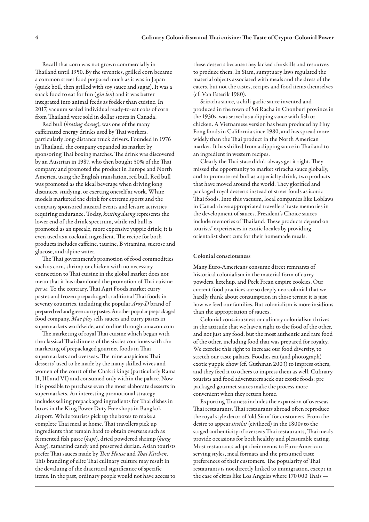Recall that corn was not grown commercially in Thailand until 1950. By the seventies, grilled corn became a common street food prepared much as it was in Japan (quick boil, then grilled with soy sauce and sugar). It was a snack food to eat for fun (*gin len*) and it was better integrated into animal feeds as fodder than cuisine. In 2017, vacuum sealed individual ready-to-eat cobs of corn from Thailand were sold in dollar stores in Canada.

Red bull (*krating daeng*), was one of the many caffeinated energy drinks used by Thai workers, particularly long-distance truck drivers. Founded in 1976 in Thailand, the company expanded its market by sponsoring Thai boxing matches. The drink was discovered by an Austrian in 1987, who then bought 50% of the Thai company and promoted the product in Europe and North America, using the English translation, red bull. Red bull was promoted as the ideal beverage when driving long distances, studying, or exerting oneself at work. White models marketed the drink for extreme sports and the company sponsored musical events and leisure activities requiring endurance. Today, *krating daeng* represents the lower end of the drink spectrum, while red bull is promoted as an upscale, more expensive yuppie drink; it is even used as a cocktail ingredient. The recipe for both products includes caffeine, taurine, B vitamins, sucrose and glucose, and alpine water.

The Thai government's promotion of food commodities such as corn, shrimp or chicken with no necessary connection to Thai cuisine in the global market does not mean that it has abandoned the promotion of Thai cuisine *per se*. To the contrary, Thai Agri Foods market curry pastes and frozen prepackaged traditional Thai foods in seventy countries, including the popular *Aroy-D* brand of prepared red and green curry pastes. Another popular prepackaged food company, *Mae ploy* sells sauces and curry pastes in supermarkets worldwide, and online through amazon.com

The marketing of royal Thai cuisine which began with the classical Thai dinners of the sixties continues with the marketing of prepackaged gourmet foods in Thai supermarkets and overseas. The 'nine auspicious Thai desserts' used to be made by the many skilled wives and women of the court of the Chakri kings (particularly Rama II, III and VI) and consumed only within the palace. Now it is possible to purchase even the most elaborate desserts in supermarkets. An interesting promotional strategy includes selling prepackaged ingredients for Thai dishes in boxes in the King Power Duty Free shops in Bangkok airport. While tourists pick up the boxes to make a complete Thai meal at home, Thai travellers pick up ingredients that remain hard to obtain overseas such as fermented fish paste (*kapi*), dried powdered shrimp (*kung hang*), tamarind candy and preserved durian. Asian tourists prefer Thai sauces made by *Thai House* and *Thai Kitchen*. This branding of elite Thai culinary culture may result in the devaluing of the diacritical significance of specific items. In the past, ordinary people would not have access to

these desserts because they lacked the skills and resources to produce them. In Siam, sumptuary laws regulated the material objects associated with meals and the dress of the eaters, but not the tastes, recipes and food items themselves (cf. Van Esterik 1980).

Sriracha sauce, a chili-garlic sauce invented and produced in the town of Sri Racha in Chonburi province in the 1930s, was served as a dipping sauce with fish or chicken. A Vietnamese version has been produced by Huy Fong foods in California since 1980, and has spread more widely than the Thai product in the North American market. It has shifted from a dipping sauce in Thailand to an ingredient in western recipes.

Clearly the Thai state didn't always get it right. They missed the opportunity to market sriracha sauce globally, and to promote red bull as a specialty drink, two products that have moved around the world. They glorified and packaged royal desserts instead of street foods as iconic Thai foods. Into this vacuum, local companies like Loblaws in Canada have appropriated travellers' taste memories in the development of sauces. President's Choice sauces include memories of Thailand. These products depend on tourists' experiences in exotic locales by providing orientalist short cuts for their homemade meals.

#### Colonial consciousness

Many Euro-Americans consume direct remnants of historical colonialism in the material form of curry powders, ketchup, and Peek Frean empire cookies. Our current food practices are so deeply neo-colonial that we hardly think about consumption in those terms: it is just how we feed our families. But colonialism is more insidious than the appropriation of sauces.

Colonial consciousness or culinary colonialism thrives in the attitude that we have a right to the food of the other, and not just any food, but the most authentic and rare food of the other, including food that was prepared for royalty. We exercise this right to increase our food diversity, to stretch our taste palates. Foodies eat (and photograph) exotic yuppie chow (cf. Guthman 2003) to impress others, and they feed it to others to impress them as well. Culinary tourists and food adventurers seek out exotic foods; pre packaged gourmet sauces make the process more convenient when they return home.

Exporting Thainess includes the expansion of overseas Thai restaurants. Thai restaurants abroad often reproduce the royal style decor of 'old Siam' for customers. From the desire to appear *siwilai* (civilized) in the 1800s to the staged authenticity of overseas Thai restaurants, Thai meals provide occasions for both healthy and pleasurable eating. Most restaurants adapt their menus to Euro-American serving styles, meal formats and the presumed taste preferences of their customers. The popularity of Thai restaurants is not directly linked to immigration, except in the case of cities like Los Angeles where 170 000 Thais —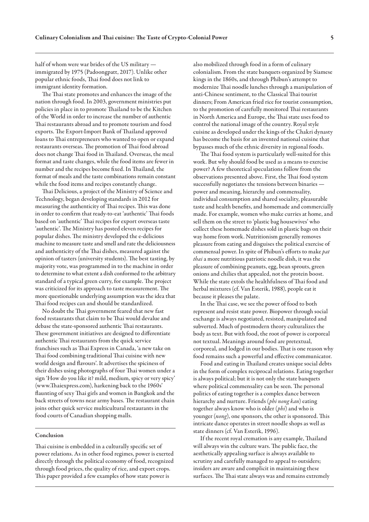half of whom were war brides of the US military immigrated by 1975 (Padoongpatt, 2017). Unlike other popular ethnic foods, Thai food does not link to immigrant identity formation.

The Thai state promotes and enhances the image of the nation through food. In 2003, government ministries put policies in place in to promote Thailand to be the Kitchen of the World in order to increase the number of authentic Thai restaurants abroad and to promote tourism and food exports. The Export-Import Bank of Thailand approved loans to Thai entrepreneurs who wanted to open or expand restaurants overseas. The promotion of Thai food abroad does not change Thai food in Thailand. Overseas, the meal format and taste changes, while the food items are fewer in number and the recipes become fixed. In Thailand, the format of meals and the taste combinations remain constant while the food items and recipes constantly change.

Thai Delicious, a project of the Ministry of Science and Technology, began developing standards in 2012 for measuring the authenticity of Thai recipes. This was done in order to confirm that ready-to-eat 'authentic' Thai foods based on 'authentic' Thai recipes for export overseas taste 'authentic'. The Ministry has posted eleven recipes for popular dishes. The ministry developed the e-delicious machine to measure taste and smell and rate the deliciousness and authenticity of the Thai dishes, measured against the opinion of tasters (university students). The best tasting, by majority vote, was programmed in to the machine in order to determine to what extent a dish conformed to the arbitrary standard of a typical green curry, for example. The project was criticized for its approach to taste measurement. The more questionable underlying assumption was the idea that Thai food recipes can and should be standardized.

No doubt the Thai government feared that new fast food restaurants that claim to be Thai would devalue and debase the state-sponsored authentic Thai restaurants. These government initiatives are designed to differentiate authentic Thai restaurants from the quick service franchises such as Thai Express in Canada, 'a new take on Thai food combining traditional Thai cuisine with new world design and flavours'. It advertises the spiciness of their dishes using photographs of four Thai women under a sign 'How do you like it? mild, medium, spicy or very spicy' (www.Thaiexpress.com), harkening back to the 1960s' flaunting of sexy Thai girls and women in Bangkok and the back streets of towns near army bases. The restaurant chain joins other quick service multicultural restaurants in the food courts of Canadian shopping malls.

## Conclusion

Thai cuisine is embedded in a culturally specific set of power relations. As in other food regimes, power is exerted directly through the political economy of food, recognized through food prices, the quality of rice, and export crops. This paper provided a few examples of how state power is

also mobilized through food in a form of culinary colonialism. From the state banquets organized by Siamese kings in the 1860s, and through Phibun's attempt to modernize Thai noodle lunches through a manipulation of anti-Chinese sentiment, to the Classical Thai tourist dinners; From American fried rice for tourist consumption, to the promotion of carefully monitored Thai restaurants in North America and Europe, the Thai state uses food to control the national image of the country. Royal style cuisine as developed under the kings of the Chakri dynasty has become the basis for an invented national cuisine that bypasses much of the ethnic diversity in regional foods.

The Thai food system is particularly well-suited for this work. But why should food be used as a means to exercise power? A few theoretical speculations follow from the observations presented above. First, the Thai food system successfully negotiates the tensions between binaries power and meaning, hierarchy and commensality, individual consumption and shared sociality, pleasurable taste and health benefits, and homemade and commercially made. For example, women who make curries at home, and sell them on the street to 'plastic bag housewives' who collect these homemade dishes sold in plastic bags on their way home from work. Nutritionism generally removes pleasure from eating and disguises the political exercise of commensal power. In spite of Phibun's efforts to make *pat thai* a more nutritious patriotic noodle dish, it was the pleasure of combining peanuts, egg, bean sprouts, green onions and chilies that appealed, not the protein boost. While the state extols the healthfulness of Thai food and herbal mixtures (cf. Van Esterik, 1988), people eat it because it pleases the palate.

In the Thai case, we see the power of food to both represent and resist state power. Biopower through social exchange is always negotiated, resisted, manipulated and subverted. Much of postmodern theory culturalizes the body as text. But with food, the root of power is corporeal not textual. Meanings around food are pretextual, corporeal, and lodged in our bodies. That is one reason why food remains such a powerful and effective communicator.

Food and eating in Thailand creates unique social debts in the form of complex reciprocal relations. Eating together is always political; but it is not only the state banquets where political commensality can be seen. The personal politics of eating together is a complex dance between hierarchy and nurture. Friends (*phi nong kan*) eating together always know who is older (*phi*) and who is younger (*nong*), one sponsors, the other is sponsored. This intricate dance operates in street noodle shops as well as state dinners (cf. Van Esterik, 1996).

If the recent royal cremation is any example, Thailand will always win the culture wars. The public face, the aesthetically appealing surface is always available to scrutiny and carefully managed to appeal to outsiders; insiders are aware and complicit in maintaining these surfaces. The Thai state always was and remains extremely